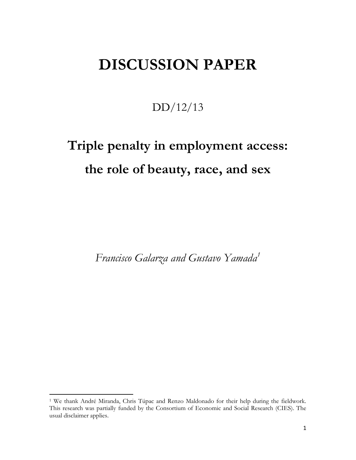## **DISCUSSION PAPER**

DD/12/13

# **Triple penalty in employment access: the role of beauty, race, and sex**

*Francisco Galarza and Gustavo Yamada<sup>1</sup>*

 $\overline{a}$ 

<sup>1</sup> We thank André Miranda, Chris Túpac and Renzo Maldonado for their help during the fieldwork. This research was partially funded by the Consortium of Economic and Social Research (CIES). The usual disclaimer applies.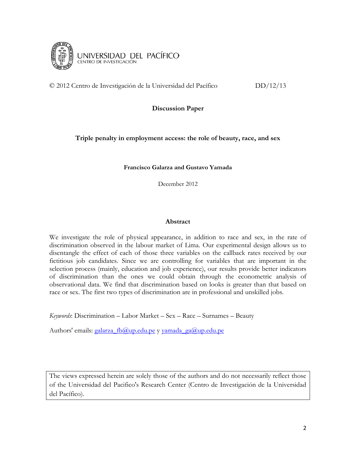

© 2012 Centro de Investigación de la Universidad del Pacífico DD/12/13

**Discussion Paper**

#### **Triple penalty in employment access: the role of beauty, race, and sex**

**Francisco Galarza and Gustavo Yamada**

December 2012

#### **Abstract**

We investigate the role of physical appearance, in addition to race and sex, in the rate of discrimination observed in the labour market of Lima. Our experimental design allows us to disentangle the effect of each of those three variables on the callback rates received by our fictitious job candidates. Since we are controlling for variables that are important in the selection process (mainly, education and job experience), our results provide better indicators of discrimination than the ones we could obtain through the econometric analysis of observational data. We find that discrimination based on looks is greater than that based on race or sex. The first two types of discrimination are in professional and unskilled jobs.

*Keywords*: Discrimination – Labor Market – Sex – Race – Surnames – Beauty

Authors' emails: galarza fb@up.edu.pe y yamada ga@up.edu.pe

The views expressed herein are solely those of the authors and do not necessarily reflect those of the Universidad del Pacifico's Research Center (Centro de Investigación de la Universidad del Pacífico).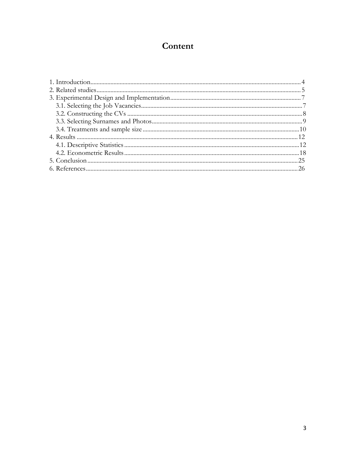## Content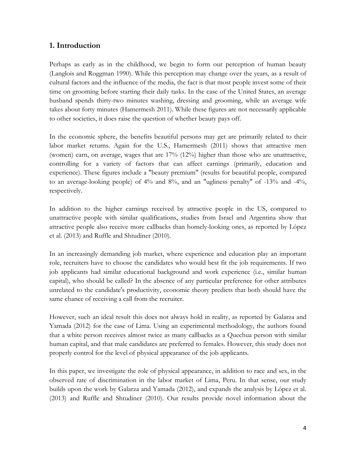#### **1. Introduction**

Perhaps as early as in the childhood, we begin to form our perception of human beauty (Langlois and Roggman 1990). While this perception may change over the years, as a result of cultural factors and the influence of the media, the fact is that most people invest some of their time on grooming before starting their daily tasks. In the case of the United States, an average husband spends thirty-two minutes washing, dressing and grooming, while an average wife takes about forty minutes (Hamermesh 2011). While these figures are not necessarily applicable to other societies, it does raise the question of whether beauty pays off.

In the economic sphere, the benefits beautiful persons may get are primarily related to their labor market returns. Again for the U.S., Hamermesh (2011) shows that attractive men (women) earn, on average, wages that are 17% (12%) higher than those who are unattractive, controlling for a variety of factors that can affect earnings (primarily, education and experience). These figures include a "beauty premium" (results for beautiful people, compared to an average-looking people) of 4% and 8%, and an "ugliness penalty" of -13% and -4%, respectively.

In addition to the higher earnings received by attractive people in the US, compared to unattractive people with similar qualifications, studies from Israel and Argentina show that attractive people also receive more callbacks than homely-looking ones, as reported by López et al. (2013) and Ruffle and Shtudiner (2010).

In an increasingly demanding job market, where experience and education play an important role, recruiters have to choose the candidates who would best fit the job requirements. If two job applicants had similar educational background and work experience (i.e., similar human capital), who should be called? In the absence of any particular preference for other attributes unrelated to the candidate's productivity, economic theory predicts that both should have the same chance of receiving a call from the recruiter.

However, such an ideal result this does not always hold in reality, as reported by Galarza and Yamada (2012) for the case of Lima. Using an experimental methodology, the authors found that a white person receives almost twice as many callbacks as a Quechua person with similar human capital, and that male candidates are preferred to females. However, this study does not properly control for the level of physical appearance of the job applicants.

In this paper, we investigate the role of physical appearance, in addition to race and sex, in the observed rate of discrimination in the labor market of Lima, Peru. In that sense, our study builds upon the work by Galarza and Yamada (2012), and expands the analysis by López et al. (2013) and Ruffle and Shtudiner (2010). Our results provide novel information about the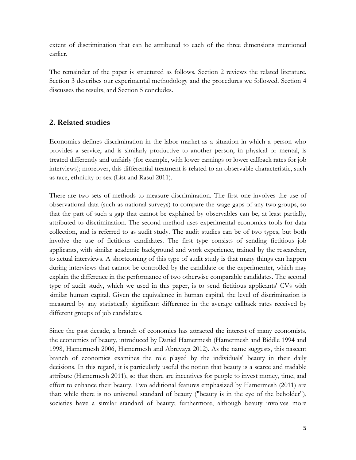extent of discrimination that can be attributed to each of the three dimensions mentioned earlier.

The remainder of the paper is structured as follows. Section 2 reviews the related literature. Section 3 describes our experimental methodology and the procedures we followed. Section 4 discusses the results, and Section 5 concludes.

#### **2. Related studies**

Economics defines discrimination in the labor market as a situation in which a person who provides a service, and is similarly productive to another person, in physical or mental, is treated differently and unfairly (for example, with lower earnings or lower callback rates for job interviews); moreover, this differential treatment is related to an observable characteristic, such as race, ethnicity or sex (List and Rasul 2011).

There are two sets of methods to measure discrimination. The first one involves the use of observational data (such as national surveys) to compare the wage gaps of any two groups, so that the part of such a gap that cannot be explained by observables can be, at least partially, attributed to discrimination. The second method uses experimental economics tools for data collection, and is referred to as audit study. The audit studies can be of two types, but both involve the use of fictitious candidates. The first type consists of sending fictitious job applicants, with similar academic background and work experience, trained by the researcher, to actual interviews. A shortcoming of this type of audit study is that many things can happen during interviews that cannot be controlled by the candidate or the experimenter, which may explain the difference in the performance of two otherwise comparable candidates. The second type of audit study, which we used in this paper, is to send fictitious applicants' CVs with similar human capital. Given the equivalence in human capital, the level of discrimination is measured by any statistically significant difference in the average callback rates received by different groups of job candidates.

Since the past decade, a branch of economics has attracted the interest of many economists, the economics of beauty, introduced by Daniel Hamermesh (Hamermesh and Biddle 1994 and 1998, Hamermesh 2006, Hamermesh and Abrevaya 2012). As the name suggests, this nascent branch of economics examines the role played by the individuals' beauty in their daily decisions. In this regard, it is particularly useful the notion that beauty is a scarce and tradable attribute (Hamermesh 2011), so that there are incentives for people to invest money, time, and effort to enhance their beauty. Two additional features emphasized by Hamermesh (2011) are that: while there is no universal standard of beauty ("beauty is in the eye of the beholder"), societies have a similar standard of beauty; furthermore, although beauty involves more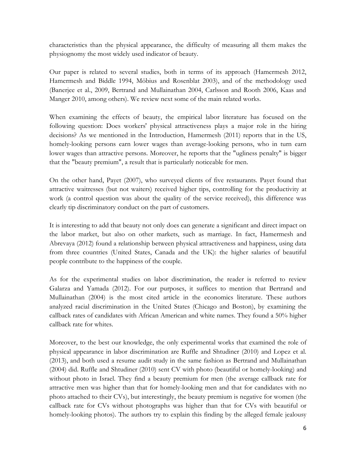characteristics than the physical appearance, the difficulty of measuring all them makes the physiognomy the most widely used indicator of beauty.

Our paper is related to several studies, both in terms of its approach (Hamermesh 2012, Hamermesh and Biddle 1994, Möbius and Rosenblat 2003), and of the methodology used (Banerjee et al., 2009, Bertrand and Mullainathan 2004, Carlsson and Rooth 2006, Kaas and Manger 2010, among others). We review next some of the main related works.

When examining the effects of beauty, the empirical labor literature has focused on the following question: Does workers' physical attractiveness plays a major role in the hiring decisions? As we mentioned in the Introduction, Hamermesh (2011) reports that in the US, homely-looking persons earn lower wages than average-looking persons, who in turn earn lower wages than attractive persons. Moreover, he reports that the "ugliness penalty" is bigger that the "beauty premium", a result that is particularly noticeable for men.

On the other hand, Payet (2007), who surveyed clients of five restaurants. Payet found that attractive waitresses (but not waiters) received higher tips, controlling for the productivity at work (a control question was about the quality of the service received), this difference was clearly tip discriminatory conduct on the part of customers.

It is interesting to add that beauty not only does can generate a significant and direct impact on the labor market, but also on other markets, such as marriage. In fact, Hamermesh and Abrevaya (2012) found a relationship between physical attractiveness and happiness, using data from three countries (United States, Canada and the UK): the higher salaries of beautiful people contribute to the happiness of the couple.

As for the experimental studies on labor discrimination, the reader is referred to review Galarza and Yamada (2012). For our purposes, it suffices to mention that Bertrand and Mullainathan (2004) is the most cited article in the economics literature. These authors analyzed racial discrimination in the United States (Chicago and Boston), by examining the callback rates of candidates with African American and white names. They found a 50% higher callback rate for whites.

Moreover, to the best our knowledge, the only experimental works that examined the role of physical appearance in labor discrimination are Ruffle and Shtudiner (2010) and Lopez et al. (2013), and both used a resume audit study in the same fashion as Bertrand and Mullainathan (2004) did. Ruffle and Shtudiner (2010) sent CV with photo (beautiful or homely-looking) and without photo in Israel. They find a beauty premium for men (the average callback rate for attractive men was higher than that for homely-looking men and that for candidates with no photo attached to their CVs), but interestingly, the beauty premium is negative for women (the callback rate for CVs without photographs was higher than that for CVs with beautiful or homely-looking photos). The authors try to explain this finding by the alleged female jealousy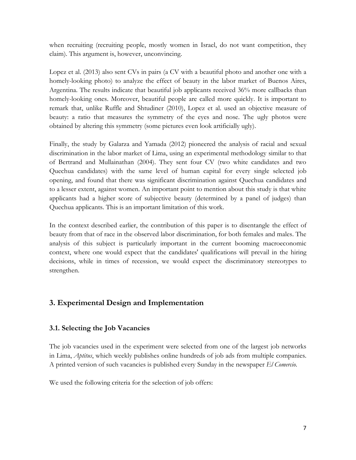when recruiting (recruiting people, mostly women in Israel, do not want competition, they claim). This argument is, however, unconvincing.

Lopez et al. (2013) also sent CVs in pairs (a CV with a beautiful photo and another one with a homely-looking photo) to analyze the effect of beauty in the labor market of Buenos Aires, Argentina. The results indicate that beautiful job applicants received 36% more callbacks than homely-looking ones. Moreover, beautiful people are called more quickly. It is important to remark that, unlike Ruffle and Shtudiner (2010), Lopez et al. used an objective measure of beauty: a ratio that measures the symmetry of the eyes and nose. The ugly photos were obtained by altering this symmetry (some pictures even look artificially ugly).

Finally, the study by Galarza and Yamada (2012) pioneered the analysis of racial and sexual discrimination in the labor market of Lima, using an experimental methodology similar to that of Bertrand and Mullainathan (2004). They sent four CV (two white candidates and two Quechua candidates) with the same level of human capital for every single selected job opening, and found that there was significant discrimination against Quechua candidates and to a lesser extent, against women. An important point to mention about this study is that white applicants had a higher score of subjective beauty (determined by a panel of judges) than Quechua applicants. This is an important limitation of this work.

In the context described earlier, the contribution of this paper is to disentangle the effect of beauty from that of race in the observed labor discrimination, for both females and males. The analysis of this subject is particularly important in the current booming macroeconomic context, where one would expect that the candidates' qualifications will prevail in the hiring decisions, while in times of recession, we would expect the discriminatory stereotypes to strengthen.

#### **3. Experimental Design and Implementation**

#### **3.1. Selecting the Job Vacancies**

The job vacancies used in the experiment were selected from one of the largest job networks in Lima, *Aptitus*, which weekly publishes online hundreds of job ads from multiple companies. A printed version of such vacancies is published every Sunday in the newspaper *El Comercio*.

We used the following criteria for the selection of job offers: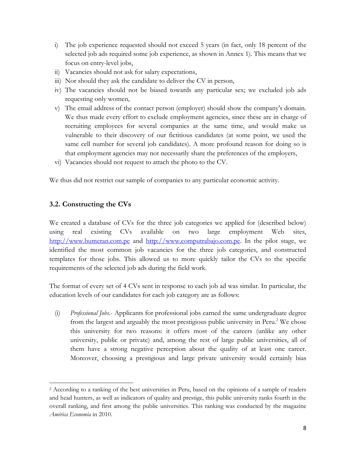- i) The job experience requested should not exceed 5 years (in fact, only 18 percent of the selected job ads required some job experience, as shown in Annex 1). This means that we focus on entry-level jobs,
- ii) Vacancies should not ask for salary expectations,
- iii) Nor should they ask the candidate to deliver the CV in person,
- iv) The vacancies should not be biased towards any particular sex; we excluded job ads requesting only women,
- v) The email address of the contact person (employer) should show the company's domain. We thus made every effort to exclude employment agencies, since these are in charge of recruiting employees for several companies at the same time, and would make us vulnerable to their discovery of our fictitious candidates (at some point, we used the same cell number for several job candidates). A more profound reason for doing so is that employment agencies may not necessarily share the preferences of the employers,
- vi) Vacancies should not request to attach the photo to the CV.

We thus did not restrict our sample of companies to any particular economic activity.

#### **3.2. Constructing the CVs**

 $\overline{a}$ 

We created a database of CVs for the three job categories we applied for (described below) using real existing CVs available on two large employment Web sites, [http://www.bumeran.com.pe](http://www.bumeran.com.pe/) and [http://www.computrabajo.com.pe.](http://www.computrabajo.com.pe/) In the pilot stage, we identified the most common job vacancies for the three job categories, and constructed templates for those jobs. This allowed us to more quickly tailor the CVs to the specific requirements of the selected job ads during the field work.

The format of every set of 4 CVs sent in response to each job ad was similar. In particular, the education levels of our candidates for each job category are as follows:

(i) *Professional Jobs*.- Applicants for professional jobs earned the same undergraduate degree from the largest and arguably the most prestigious public university in Peru. <sup>2</sup> We chose this university for two reasons: it offers most of the careers (unlike any other university, public or private) and, among the rest of large public universities, all of them have a strong negative perception about the quality of at least one career. Moreover, choosing a prestigious and large private university would certainly bias

<sup>2</sup> According to a ranking of the best universities in Peru, based on the opinions of a sample of readers and head hunters, as well as indicators of quality and prestige, this public university ranks fourth in the overall ranking, and first among the public universities. This ranking was conducted by the magazine *América Economía* in 2010.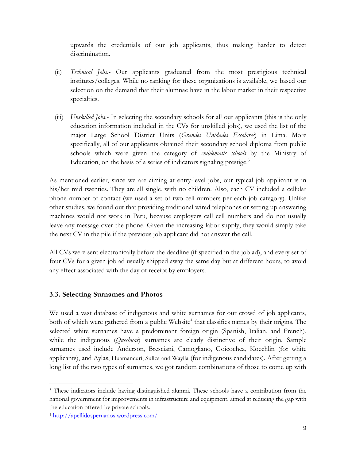upwards the credentials of our job applicants, thus making harder to detect discrimination.

- (ii) *Technical Jobs*.- Our applicants graduated from the most prestigious technical institutes/colleges. While no ranking for these organizations is available, we based our selection on the demand that their alumnae have in the labor market in their respective specialties.
- (iii) *Unskilled Jobs*.- In selecting the secondary schools for all our applicants (this is the only education information included in the CVs for unskilled jobs), we used the list of the major Large School District Units (*Grandes Unidades Escolares*) in Lima. More specifically, all of our applicants obtained their secondary school diploma from public schools which were given the category of *emblematic schools* by the Ministry of Education, on the basis of a series of indicators signaling prestige.<sup>3</sup>

As mentioned earlier, since we are aiming at entry-level jobs, our typical job applicant is in his/her mid twenties. They are all single, with no children. Also, each CV included a cellular phone number of contact (we used a set of two cell numbers per each job category). Unlike other studies, we found out that providing traditional wired telephones or setting up answering machines would not work in Peru, because employers call cell numbers and do not usually leave any message over the phone. Given the increasing labor supply, they would simply take the next CV in the pile if the previous job applicant did not answer the call.

All CVs were sent electronically before the deadline (if specified in the job ad), and every set of four CVs for a given job ad usually shipped away the same day but at different hours, to avoid any effect associated with the day of receipt by employers.

#### **3.3. Selecting Surnames and Photos**

We used a vast database of indigenous and white surnames for our crowd of job applicants, both of which were gathered from a public Website<sup>4</sup> that classifies names by their origins. The selected white surnames have a predominant foreign origin (Spanish, Italian, and French), while the indigenous (*Quechuas*) surnames are clearly distinctive of their origin. Sample surnames used include Anderson, Bresciani, Camogliano, Goicochea, Koechlin (for white applicants), and Aylas, Huamancuri, Sullca and Waylla (for indigenous candidates). After getting a long list of the two types of surnames, we got random combinations of those to come up with

 $\overline{a}$ <sup>3</sup> These indicators include having distinguished alumni. These schools have a contribution from the national government for improvements in infrastructure and equipment, aimed at reducing the gap with the education offered by private schools.

<sup>4</sup> <http://apellidosperuanos.wordpress.com/>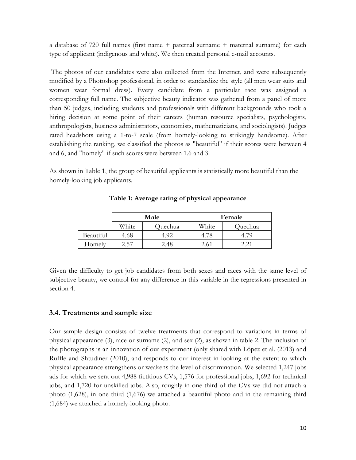a database of 720 full names (first name + paternal surname + maternal surname) for each type of applicant (indigenous and white). We then created personal e-mail accounts.

The photos of our candidates were also collected from the Internet, and were subsequently modified by a Photoshop professional, in order to standardize the style (all men wear suits and women wear formal dress). Every candidate from a particular race was assigned a corresponding full name. The subjective beauty indicator was gathered from a panel of more than 50 judges, including students and professionals with different backgrounds who took a hiring decision at some point of their careers (human resource specialists, psychologists, anthropologists, business administrators, economists, mathematicians, and sociologists). Judges rated headshots using a 1-to-7 scale (from homely-looking to strikingly handsome). After establishing the ranking, we classified the photos as "beautiful" if their scores were between 4 and 6, and "homely" if such scores were between 1.6 and 3.

As shown in Table 1, the group of beautiful applicants is statistically more beautiful than the homely-looking job applicants.

|           |       | Male    | Female |         |  |
|-----------|-------|---------|--------|---------|--|
|           | White | Quechua | White  | Quechua |  |
| Beautiful | 4.68  | 4.92    | 4.78   |         |  |
| Homely    | 2.57  | 2.48    |        | າ າາ    |  |

**Table 1: Average rating of physical appearance**

Given the difficulty to get job candidates from both sexes and races with the same level of subjective beauty, we control for any difference in this variable in the regressions presented in section 4.

#### **3.4. Treatments and sample size**

Our sample design consists of twelve treatments that correspond to variations in terms of physical appearance (3), race or surname (2), and sex (2), as shown in table 2. The inclusion of the photographs is an innovation of our experiment (only shared with López et al. (2013) and Ruffle and Shtudiner (2010), and responds to our interest in looking at the extent to which physical appearance strengthens or weakens the level of discrimination. We selected 1,247 jobs ads for which we sent out 4,988 fictitious CVs, 1,576 for professional jobs, 1,692 for technical jobs, and 1,720 for unskilled jobs. Also, roughly in one third of the CVs we did not attach a photo (1,628), in one third (1,676) we attached a beautiful photo and in the remaining third (1,684) we attached a homely-looking photo.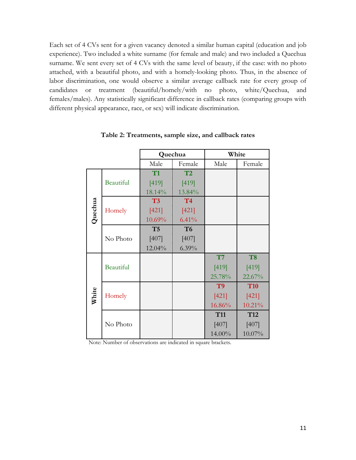Each set of 4 CVs sent for a given vacancy denoted a similar human capital (education and job experience). Two included a white surname (for female and male) and two included a Quechua surname. We sent every set of 4 CVs with the same level of beauty, if the case: with no photo attached, with a beautiful photo, and with a homely-looking photo. Thus, in the absence of labor discrimination, one would observe a similar average callback rate for every group of candidates or treatment (beautiful/homely/with no photo, white/Quechua, and females/males). Any statistically significant difference in callback rates (comparing groups with different physical appearance, race, or sex) will indicate discrimination.

|         |           |                | Quechua        | White          |                 |  |
|---------|-----------|----------------|----------------|----------------|-----------------|--|
|         |           | Male           | Female         | Male           | Female          |  |
|         |           | T1             | T2             |                |                 |  |
|         | Beautiful | [419]          | [419]          |                |                 |  |
|         |           | 18.14%         | 13.84%         |                |                 |  |
|         |           | T3             | <b>T4</b>      |                |                 |  |
| Quechua | Homely    | [421]          | [421]          |                |                 |  |
|         |           | 10.69%         | 6.41%          |                |                 |  |
|         |           | T <sub>5</sub> | T <sub>6</sub> |                |                 |  |
|         | No Photo  | $[407]$        | $[407]$        |                |                 |  |
|         |           | 12.04%         | $6.39\%$       |                |                 |  |
|         |           |                |                | T7             | T <sub>8</sub>  |  |
|         | Beautiful |                |                | [419]          | [419]           |  |
|         |           |                |                | 25.78%         | 22.67%          |  |
|         |           |                |                | T <sub>9</sub> | <b>T10</b>      |  |
| White   | Homely    |                |                | [421]          | [421]           |  |
|         |           |                |                | 16.86%         | 10.21%          |  |
|         |           |                |                | <b>T11</b>     | T <sub>12</sub> |  |
|         | No Photo  |                |                | [407]          | [407]           |  |
|         |           |                |                | 14.00%         | 10.07%          |  |

**Table 2: Treatments, sample size, and callback rates**

Note: Number of observations are indicated in square brackets.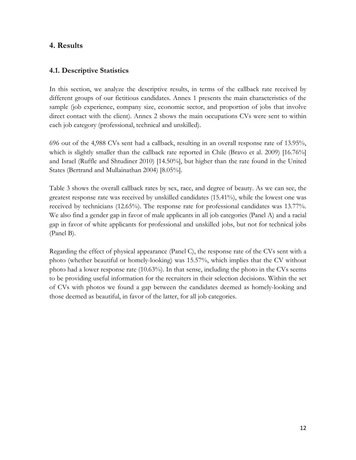#### **4. Results**

#### **4.1. Descriptive Statistics**

In this section, we analyze the descriptive results, in terms of the callback rate received by different groups of our fictitious candidates. Annex 1 presents the main characteristics of the sample (job experience, company size, economic sector, and proportion of jobs that involve direct contact with the client). Annex 2 shows the main occupations CVs were sent to within each job category (professional, technical and unskilled).

696 out of the 4,988 CVs sent had a callback, resulting in an overall response rate of 13.95%, which is slightly smaller than the callback rate reported in Chile (Bravo et al. 2009) [16.76%] and Israel (Ruffle and Shtudiner 2010) [14.50%], but higher than the rate found in the United States (Bertrand and Mullainathan 2004) [8.05%].

Table 3 shows the overall callback rates by sex, race, and degree of beauty. As we can see, the greatest response rate was received by unskilled candidates (15.41%), while the lowest one was received by technicians (12.65%). The response rate for professional candidates was 13.77%. We also find a gender gap in favor of male applicants in all job categories (Panel A) and a racial gap in favor of white applicants for professional and unskilled jobs, but not for technical jobs (Panel B).

Regarding the effect of physical appearance (Panel C), the response rate of the CVs sent with a photo (whether beautiful or homely-looking) was 15.57%, which implies that the CV without photo had a lower response rate (10.63%). In that sense, including the photo in the CVs seems to be providing useful information for the recruiters in their selection decisions. Within the set of CVs with photos we found a gap between the candidates deemed as homely-looking and those deemed as beautiful, in favor of the latter, for all job categories.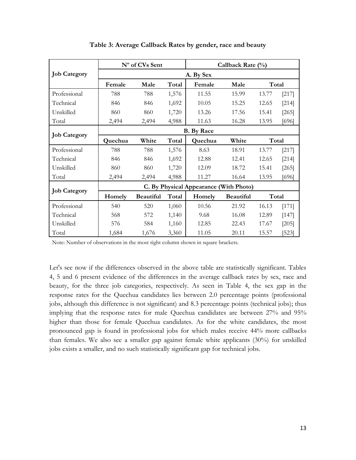|                     |           | N° of CVs Sent    |       |                                        | Callback Rate (%) |       |         |  |  |  |  |  |
|---------------------|-----------|-------------------|-------|----------------------------------------|-------------------|-------|---------|--|--|--|--|--|
| <b>Job Category</b> | A. By Sex |                   |       |                                        |                   |       |         |  |  |  |  |  |
|                     | Female    | Male              | Total | Female                                 | Male              |       | Total   |  |  |  |  |  |
| Professional        | 788       | 788               | 1,576 | 11.55                                  | 15.99             | 13.77 | [217]   |  |  |  |  |  |
| Technical           | 846       | 846               | 1,692 | 10.05                                  | 15.25             | 12.65 | $[214]$ |  |  |  |  |  |
| Unskilled           | 860       | 860               | 1,720 | 13.26                                  | 17.56             | 15.41 | $[265]$ |  |  |  |  |  |
| Total               | 2,494     | 2,494             | 4,988 | 11.63                                  | 16.28             | 13.95 | $[696]$ |  |  |  |  |  |
| <b>Job Category</b> |           | <b>B.</b> By Race |       |                                        |                   |       |         |  |  |  |  |  |
|                     | Quechua   | White             | Total | Quechua                                | White             |       | Total   |  |  |  |  |  |
| Professional        | 788       | 788               | 1,576 | 8.63                                   | 18.91             | 13.77 | [217]   |  |  |  |  |  |
| Technical           | 846       | 846               | 1,692 | 12.88                                  | 12.41             | 12.65 | $[214]$ |  |  |  |  |  |
| Unskilled           | 860       | 860               | 1,720 | 12.09                                  | 18.72             | 15.41 | $[265]$ |  |  |  |  |  |
| Total               | 2,494     | 2,494             | 4,988 | 11.27                                  | 16.64             | 13.95 | [696]   |  |  |  |  |  |
| <b>Job Category</b> |           |                   |       | C. By Physical Appearance (With Photo) |                   |       |         |  |  |  |  |  |
|                     | Homely    | <b>Beautiful</b>  | Total | Homely                                 | <b>Beautiful</b>  |       | Total   |  |  |  |  |  |
| Professional        | 540       | 520               | 1,060 | 10.56                                  | 21.92             | 16.13 | [171]   |  |  |  |  |  |
| Technical           | 568       | 572               | 1,140 | 9.68                                   | 16.08             | 12.89 | $[147]$ |  |  |  |  |  |
| Unskilled           | 576       | 584               | 1,160 | 12.85                                  | 22.43             | 17.67 | $[205]$ |  |  |  |  |  |
| Total               | 1,684     | 1,676             | 3,360 | 11.05                                  | 20.11             | 15.57 | [523]   |  |  |  |  |  |

**Table 3: Average Callback Rates by gender, race and beauty**

Note: Number of observations in the most right column shown in square brackets.

Let's see now if the differences observed in the above table are statistically significant. Tables 4, 5 and 6 present evidence of the differences in the average callback rates by sex, race and beauty, for the three job categories, respectively. As seen in Table 4, the sex gap in the response rates for the Quechua candidates lies between 2.0 percentage points (professional jobs, although this difference is not significant) and 8.3 percentage points (technical jobs); thus implying that the response rates for male Quechua candidates are between 27% and 95% higher than those for female Quechua candidates. As for the white candidates, the most pronounced gap is found in professional jobs for which males receive 44% more callbacks than females. We also see a smaller gap against female white applicants (30%) for unskilled jobs exists a smaller, and no such statistically significant gap for technical jobs.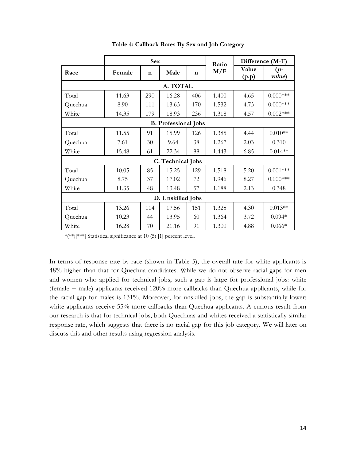|                   | <b>Sex</b> |             |                             |             | Ratio |                | Difference (M-F) |  |  |
|-------------------|------------|-------------|-----------------------------|-------------|-------|----------------|------------------|--|--|
| Race              | Female     | $\mathbf n$ | Male                        | $\mathbf n$ | M/F   | Value<br>(p.p) | $(p-$<br>value)  |  |  |
| A. TOTAL          |            |             |                             |             |       |                |                  |  |  |
| Total             | 11.63      | 290         | 16.28                       | 406         | 1.400 | 4.65           | $0.000***$       |  |  |
| Quechua           | 8.90       | 111         | 13.63                       | 170         | 1.532 | 4.73           | $0.000$ ***      |  |  |
| White             | 14.35      | 179         | 18.93                       | 236         | 1.318 | 4.57           | $0.002***$       |  |  |
|                   |            |             | <b>B.</b> Professional Jobs |             |       |                |                  |  |  |
| Total             | 11.55      | 91          | 15.99                       | 126         | 1.385 | 4.44           | $0.010**$        |  |  |
| Quechua           | 7.61       | 30          | 9.64                        | 38          | 1.267 | 2.03           | 0.310            |  |  |
| White             | 15.48      | 61          | 22.34                       | 88          | 1.443 | 6.85           | $0.014**$        |  |  |
|                   |            |             | C. Technical Jobs           |             |       |                |                  |  |  |
| Total             | 10.05      | 85          | 15.25                       | 129         | 1.518 | 5.20           | $0.001***$       |  |  |
| Quechua           | 8.75       | 37          | 17.02                       | 72          | 1.946 | 8.27           | $0.000***$       |  |  |
| White             | 11.35      | 48          | 13.48                       | 57          | 1.188 | 2.13           | 0.348            |  |  |
| D. Unskilled Jobs |            |             |                             |             |       |                |                  |  |  |
| Total             | 13.26      | 114         | 17.56                       | 151         | 1.325 | 4.30           | $0.013**$        |  |  |
| Quechua           | 10.23      | 44          | 13.95                       | 60          | 1.364 | 3.72           | $0.094*$         |  |  |
| White             | 16.28      | 70          | 21.16                       | 91          | 1.300 | 4.88           | $0.066*$         |  |  |

**Table 4: Callback Rates By Sex and Job Category**

\*(\*\*)[\*\*\*] Statistical significance at 10 (5) [1] percent level.

In terms of response rate by race (shown in Table 5), the overall rate for white applicants is 48% higher than that for Quechua candidates. While we do not observe racial gaps for men and women who applied for technical jobs, such a gap is large for professional jobs: white (female + male) applicants received 120% more callbacks than Quechua applicants, while for the racial gap for males is 131%. Moreover, for unskilled jobs, the gap is substantially lower: white applicants receive 55% more callbacks than Quechua applicants. A curious result from our research is that for technical jobs, both Quechuas and whites received a statistically similar response rate, which suggests that there is no racial gap for this job category. We will later on discuss this and other results using regression analysis.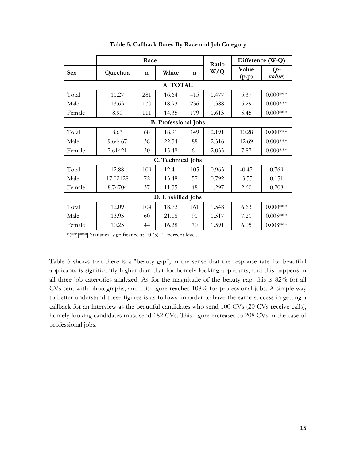|            |                   | Race        |                             |             | Ratio |                | Difference (W-Q) |  |  |  |
|------------|-------------------|-------------|-----------------------------|-------------|-------|----------------|------------------|--|--|--|
| <b>Sex</b> | Quechua           | $\mathbf n$ | White                       | $\mathbf n$ | W/Q   | Value<br>(p.p) | $(p-$<br>value)  |  |  |  |
|            |                   |             | A. TOTAL                    |             |       |                |                  |  |  |  |
| Total      | 11.27             | 281         | 16.64                       | 415         | 1.477 | 5.37           | $0.000$ ***      |  |  |  |
| Male       | 13.63             | 170         | 18.93                       | 236         | 1.388 | 5.29           | $0.000***$       |  |  |  |
| Female     | 8.90              | 111         | 14.35                       | 179         | 1.613 | 5.45           | $0.000***$       |  |  |  |
|            |                   |             | <b>B.</b> Professional Jobs |             |       |                |                  |  |  |  |
| Total      | 8.63              | 68          | 18.91                       | 149         | 2.191 | 10.28          | $0.000$ ***      |  |  |  |
| Male       | 9.64467           | 38          | 22.34                       | 88          | 2.316 | 12.69          | $0.000$ ***      |  |  |  |
| Female     | 7.61421           | 30          | 15.48                       | 61          | 2.033 | 7.87           | $0.000***$       |  |  |  |
|            |                   |             | C. Technical Jobs           |             |       |                |                  |  |  |  |
| Total      | 12.88             | 109         | 12.41                       | 105         | 0.963 | $-0.47$        | 0.769            |  |  |  |
| Male       | 17.02128          | 72          | 13.48                       | 57          | 0.792 | $-3.55$        | 0.151            |  |  |  |
| Female     | 8.74704           | 37          | 11.35                       | 48          | 1.297 | 2.60           | 0.208            |  |  |  |
|            | D. Unskilled Jobs |             |                             |             |       |                |                  |  |  |  |
| Total      | 12.09             | 104         | 18.72                       | 161         | 1.548 | 6.63           | $0.000$ ***      |  |  |  |
| Male       | 13.95             | 60          | 21.16                       | 91          | 1.517 | 7.21           | $0.005***$       |  |  |  |
| Female     | 10.23             | 44          | 16.28                       | 70          | 1.591 | 6.05           | $0.008***$       |  |  |  |

**Table 5: Callback Rates By Race and Job Category**

\*(\*\*)[\*\*\*] Statistical significance at 10 (5) [1] percent level.

Table 6 shows that there is a "beauty gap", in the sense that the response rate for beautiful applicants is significantly higher than that for homely-looking applicants, and this happens in all three job categories analyzed. As for the magnitude of the beauty gap, this is 82% for all CVs sent with photographs, and this figure reaches 108% for professional jobs. A simple way to better understand these figures is as follows: in order to have the same success in getting a callback for an interview as the beautiful candidates who send 100 CVs (20 CVs receive calls), homely-looking candidates must send 182 CVs. This figure increases to 208 CVs in the case of professional jobs.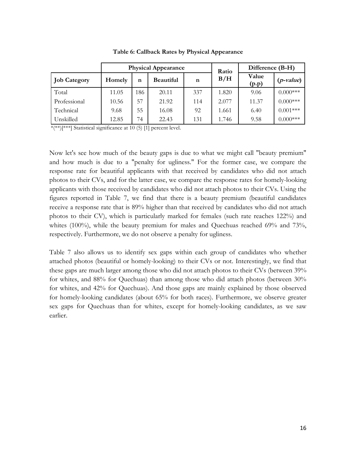|                     |        |     | <b>Physical Appearance</b> | Ratio | Difference (B-H) |                |             |
|---------------------|--------|-----|----------------------------|-------|------------------|----------------|-------------|
| <b>Job Category</b> | Homely | n   | <b>Beautiful</b>           | n     | B/H              | Value<br>(p.p) | $(p-value)$ |
| Total               | 11.05  | 186 | 20.11                      | 337   | 1.820            | 9.06           | $0.000***$  |
| Professional        | 10.56  | 57  | 21.92                      | 114   | 2.077            | 11.37          | $0.000***$  |
| Technical           | 9.68   | 55  | 16.08                      | 92    | 1.661            | 6.40           | $0.001***$  |
| Unskilled           | 12.85  | 74  | 22.43                      | 131   | 1.746            | 9.58           | $0.000***$  |

**Table 6: Callback Rates by Physical Appearance**

 $*\left(**\right)$ [\*\*\*] Statistical significance at 10 (5) [1] percent level.

Now let's see how much of the beauty gaps is due to what we might call "beauty premium" and how much is due to a "penalty for ugliness." For the former case, we compare the response rate for beautiful applicants with that received by candidates who did not attach photos to their CVs, and for the latter case, we compare the response rates for homely-looking applicants with those received by candidates who did not attach photos to their CVs. Using the figures reported in Table 7, we find that there is a beauty premium (beautiful candidates receive a response rate that is 89% higher than that received by candidates who did not attach photos to their CV), which is particularly marked for females (such rate reaches 122%) and whites (100%), while the beauty premium for males and Quechuas reached 69% and 73%, respectively. Furthermore, we do not observe a penalty for ugliness.

Table 7 also allows us to identify sex gaps within each group of candidates who whether attached photos (beautiful or homely-looking) to their CVs or not. Interestingly, we find that these gaps are much larger among those who did not attach photos to their CVs (between 39% for whites, and 88% for Quechuas) than among those who did attach photos (between 30% for whites, and 42% for Quechuas). And those gaps are mainly explained by those observed for homely-looking candidates (about 65% for both races). Furthermore, we observe greater sex gaps for Quechuas than for whites, except for homely-looking candidates, as we saw earlier.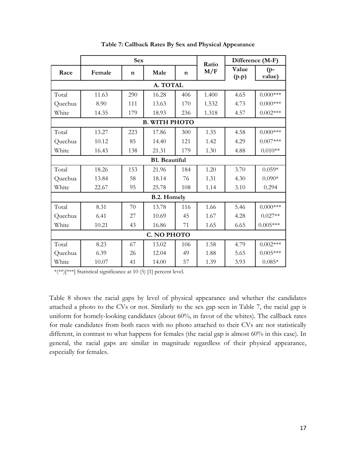|          |        | <b>Sex</b>  |                      |             | Ratio |                | Difference (M-F) |  |  |
|----------|--------|-------------|----------------------|-------------|-------|----------------|------------------|--|--|
| Race     | Female | $\mathbf n$ | Male                 | $\mathbf n$ | M/F   | Value<br>(p.p) | $(p-$<br>value)  |  |  |
| A. TOTAL |        |             |                      |             |       |                |                  |  |  |
| Total    | 11.63  | 290         | 16.28                | 406         | 1.400 | 4.65           | $0.000***$       |  |  |
| Quechua  | 8.90   | 111         | 13.63                | 170         | 1.532 | 4.73           | $0.000***$       |  |  |
| White    | 14.35  | 179         | 18.93                | 236         | 1.318 | 4.57           | $0.002***$       |  |  |
|          |        |             | <b>B. WITH PHOTO</b> |             |       |                |                  |  |  |
| Total    | 13.27  | 223         | 17.86                | 300         | 1.35  | 4.58           | $0.000***$       |  |  |
| Quechua  | 10.12  | 85          | 14.40                | 121         | 1.42  | 4.29           | $0.007***$       |  |  |
| White    | 16.43  | 138         | 21.31                | 179         | 1.30  | 4.88           | $0.010**$        |  |  |
|          |        |             | <b>B1. Beautiful</b> |             |       |                |                  |  |  |
| Total    | 18.26  | 153         | 21.96                | 184         | 1.20  | 3.70           | $0.059*$         |  |  |
| Quechua  | 13.84  | 58          | 18.14                | 76          | 1.31  | 4.30           | $0.090*$         |  |  |
| White    | 22.67  | 95          | 25.78                | 108         | 1.14  | 3.10           | 0.294            |  |  |
|          |        |             | <b>B.2. Homely</b>   |             |       |                |                  |  |  |
| Total    | 8.31   | 70          | 13.78                | 116         | 1.66  | 5.46           | $0.000***$       |  |  |
| Quechua  | 6.41   | 27          | 10.69                | 45          | 1.67  | 4.28           | $0.027**$        |  |  |
| White    | 10.21  | 43          | 16.86                | 71          | 1.65  | 6.65           | $0.005***$       |  |  |
|          |        |             | C. NO PHOTO          |             |       |                |                  |  |  |
| Total    | 8.23   | 67          | 13.02                | 106         | 1.58  | 4.79           | $0.002***$       |  |  |
| Quechua  | 6.39   | 26          | 12.04                | 49          | 1.88  | 5.65           | $0.005***$       |  |  |
| White    | 10.07  | 41          | 14.00                | 57          | 1.39  | 3.93           | $0.085*$         |  |  |

**Table 7: Callback Rates By Sex and Physical Appearance**

\*(\*\*)[\*\*\*] Statistical significance at 10 (5) [1] percent level.

Table 8 shows the racial gaps by level of physical appearance and whether the candidates attached a photo to the CVs or not. Similarly to the sex gap seen in Table 7, the racial gap is uniform for homely-looking candidates (about 60%, in favor of the whites). The callback rates for male candidates from both races with no photo attached to their CVs are not statistically different, in contrast to what happens for females (the racial gap is almost 60% in this case). In general, the racial gaps are similar in magnitude regardless of their physical appearance, especially for females.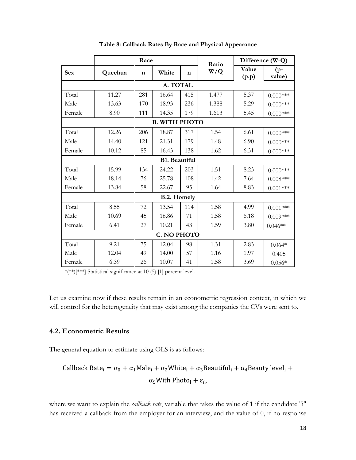|            | Race        |             |                      |             | Ratio |                | Difference (W-Q) |  |  |
|------------|-------------|-------------|----------------------|-------------|-------|----------------|------------------|--|--|
| <b>Sex</b> | Quechua     | $\mathbf n$ | White                | $\mathbf n$ | W/Q   | Value<br>(p.p) | $(p-$<br>value)  |  |  |
| A. TOTAL   |             |             |                      |             |       |                |                  |  |  |
| Total      | 11.27       | 281         | 16.64                | 415         | 1.477 | 5.37           | $0.000***$       |  |  |
| Male       | 13.63       | 170         | 18.93                | 236         | 1.388 | 5.29           | $0.000$ ***      |  |  |
| Female     | 8.90        | 111         | 14.35                | 179         | 1.613 | 5.45           | $0.000$ ***      |  |  |
|            |             |             | <b>B. WITH PHOTO</b> |             |       |                |                  |  |  |
| Total      | 12.26       | 206         | 18.87                | 317         | 1.54  | 6.61           | $0.000***$       |  |  |
| Male       | 14.40       | 121         | 21.31                | 179         | 1.48  | 6.90           | $0.000$ ***      |  |  |
| Female     | 10.12       | 85          | 16.43                | 138         | 1.62  | 6.31           | $0.000$ ***      |  |  |
|            |             |             | <b>B1.</b> Beautiful |             |       |                |                  |  |  |
| Total      | 15.99       | 134         | 24.22                | 203         | 1.51  | 8.23           | $0.000***$       |  |  |
| Male       | 18.14       | 76          | 25.78                | 108         | 1.42  | 7.64           | $0.008***$       |  |  |
| Female     | 13.84       | 58          | 22.67                | 95          | 1.64  | 8.83           | $0.001***$       |  |  |
|            |             |             | <b>B.2. Homely</b>   |             |       |                |                  |  |  |
| Total      | 8.55        | 72          | 13.54                | 114         | 1.58  | 4.99           | $0.001***$       |  |  |
| Male       | 10.69       | 45          | 16.86                | 71          | 1.58  | 6.18           | $0.009***$       |  |  |
| Female     | 6.41        | 27          | 10.21                | 43          | 1.59  | 3.80           | $0.046**$        |  |  |
|            | C. NO PHOTO |             |                      |             |       |                |                  |  |  |
| Total      | 9.21        | 75          | 12.04                | 98          | 1.31  | 2.83           | $0.064*$         |  |  |
| Male       | 12.04       | 49          | 14.00                | 57          | 1.16  | 1.97           | 0.405            |  |  |
| Female     | 6.39        | 26          | 10.07                | 41          | 1.58  | 3.69           | $0.056*$         |  |  |

**Table 8: Callback Rates By Race and Physical Appearance**

\*(\*\*)[\*\*\*] Statistical significance at 10 (5) [1] percent level.

Let us examine now if these results remain in an econometric regression context, in which we will control for the heterogeneity that may exist among the companies the CVs were sent to.

#### **4.2. Econometric Results**

The general equation to estimate using OLS is as follows:

Callback Rate<sub>i</sub> = 
$$
\alpha_0 + \alpha_1 \text{Male}_i + \alpha_2 \text{White}_i + \alpha_3 \text{Beautiful}_i + \alpha_4 \text{Beauty level}_i + \alpha_5 \text{With Photo}_i + \varepsilon_i,
$$

where we want to explain the *callback rate*, variable that takes the value of 1 if the candidate "i" has received a callback from the employer for an interview, and the value of 0, if no response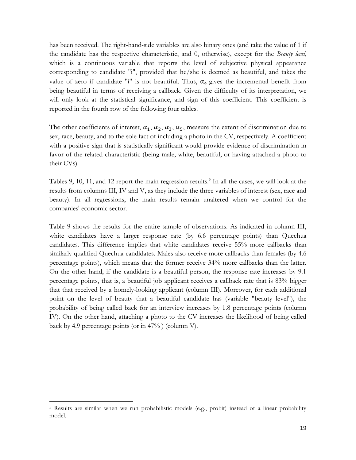has been received. The right-hand-side variables are also binary ones (and take the value of 1 if the candidate has the respective characteristic, and 0, otherwise), except for the *Beauty level*, which is a continuous variable that reports the level of subjective physical appearance corresponding to candidate "i", provided that he/she is deemed as beautiful, and takes the value of zero if candidate "i" is not beautiful. Thus,  $\alpha_4$  gives the incremental benefit from being beautiful in terms of receiving a callback. Given the difficulty of its interpretation, we will only look at the statistical significance, and sign of this coefficient. This coefficient is reported in the fourth row of the following four tables.

The other coefficients of interest,  $\alpha_1$ ,  $\alpha_2$ ,  $\alpha_3$ ,  $\alpha_5$ , measure the extent of discrimination due to sex, race, beauty, and to the sole fact of including a photo in the CV, respectively. A coefficient with a positive sign that is statistically significant would provide evidence of discrimination in favor of the related characteristic (being male, white, beautiful, or having attached a photo to their CVs).

Tables 9, 10, 11, and 12 report the main regression results. 5 In all the cases, we will look at the results from columns III, IV and V, as they include the three variables of interest (sex, race and beauty). In all regressions, the main results remain unaltered when we control for the companies' economic sector.

Table 9 shows the results for the entire sample of observations. As indicated in column III, white candidates have a larger response rate (by 6.6 percentage points) than Quechua candidates. This difference implies that white candidates receive 55% more callbacks than similarly qualified Quechua candidates. Males also receive more callbacks than females (by 4.6 percentage points), which means that the former receive 34% more callbacks than the latter. On the other hand, if the candidate is a beautiful person, the response rate increases by 9.1 percentage points, that is, a beautiful job applicant receives a callback rate that is 83% bigger that that received by a homely-looking applicant (column III). Moreover, for each additional point on the level of beauty that a beautiful candidate has (variable "beauty level"), the probability of being called back for an interview increases by 1.8 percentage points (column IV). On the other hand, attaching a photo to the CV increases the likelihood of being called back by 4.9 percentage points (or in 47% ) (column V).

 $\overline{a}$ 

<sup>5</sup> Results are similar when we run probabilistic models (e.g., probit) instead of a linear probability model.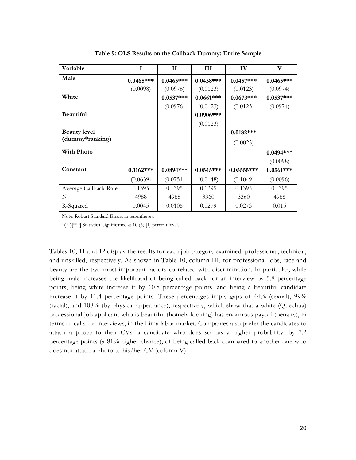| Variable              | I            | $\mathbf H$ | Ш            | IV           | V           |
|-----------------------|--------------|-------------|--------------|--------------|-------------|
| Male                  | $0.0465***$  | $0.0465***$ | $0.0458***$  | $0.0457***$  | $0.0465***$ |
|                       | (0.0098)     | (0.0976)    | (0.0123)     | (0.0123)     | (0.0974)    |
| White                 |              | $0.0537***$ | $0.0661***$  | $0.0673***$  | $0.0537***$ |
|                       |              | (0.0976)    | (0.0123)     | (0.0123)     | (0.0974)    |
| <b>Beautiful</b>      |              |             | $0.0906$ *** |              |             |
|                       |              |             | (0.0123)     |              |             |
| <b>Beauty level</b>   |              |             |              | $0.0182***$  |             |
| (dummy*ranking)       |              |             |              | (0.0025)     |             |
| <b>With Photo</b>     |              |             |              |              | $0.0494***$ |
|                       |              |             |              |              | (0.0098)    |
| Constant              | $0.1162$ *** | $0.0894***$ | $0.0545***$  | $0.05555***$ | $0.0561***$ |
|                       | (0.0639)     | (0.0751)    | (0.0148)     | (0.1049)     | (0.0096)    |
| Average Callback Rate | 0.1395       | 0.1395      | 0.1395       | 0.1395       | 0.1395      |
| N                     | 4988         | 4988        | 3360         | 3360         | 4988        |
| R-Squared             | 0.0045       | 0.0105      | 0.0279       | 0.0273       | 0.015       |

**Table 9: OLS Results on the Callback Dummy: Entire Sample**

\*(\*\*)[\*\*\*] Statistical significance at 10 (5) [1] percent level.

Tables 10, 11 and 12 display the results for each job category examined: professional, technical, and unskilled, respectively. As shown in Table 10, column III, for professional jobs, race and beauty are the two most important factors correlated with discrimination. In particular, while being male increases the likelihood of being called back for an interview by 5.8 percentage points, being white increase it by 10.8 percentage points, and being a beautiful candidate increase it by 11.4 percentage points. These percentages imply gaps of 44% (sexual), 99% (racial), and 108% (by physical appearance), respectively, which show that a white (Quechua) professional job applicant who is beautiful (homely-looking) has enormous payoff (penalty), in terms of calls for interviews, in the Lima labor market. Companies also prefer the candidates to attach a photo to their CVs: a candidate who does so has a higher probability, by 7.2 percentage points (a 81% higher chance), of being called back compared to another one who does not attach a photo to his/her CV (column V).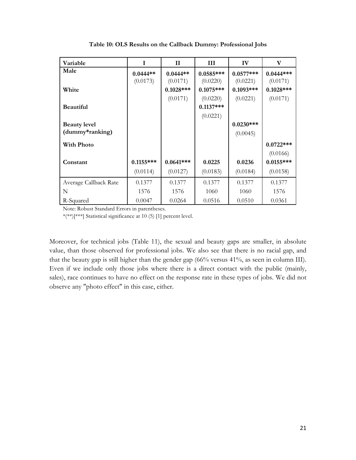| Variable              | I           | $\mathbf{I}$ | Ш           | IV           | V            |
|-----------------------|-------------|--------------|-------------|--------------|--------------|
| Male                  | $0.0444**$  | $0.0444**$   | $0.0585***$ | $0.0577***$  | $0.0444***$  |
|                       | (0.0173)    | (0.0171)     | (0.0220)    | (0.0221)     | (0.0171)     |
| White                 |             | $0.1028$ *** | $0.1075***$ | $0.1093$ *** | $0.1028$ *** |
|                       |             | (0.0171)     | (0.0220)    | (0.0221)     | (0.0171)     |
| <b>Beautiful</b>      |             |              | $0.1137***$ |              |              |
|                       |             |              | (0.0221)    |              |              |
| <b>Beauty level</b>   |             |              |             | $0.0230***$  |              |
| (dummy*ranking)       |             |              |             | (0.0045)     |              |
| <b>With Photo</b>     |             |              |             |              | $0.0722***$  |
|                       |             |              |             |              | (0.0166)     |
| Constant              | $0.1155***$ | $0.0641***$  | 0.0225      | 0.0236       | $0.0155***$  |
|                       | (0.0114)    | (0.0127)     | (0.0183)    | (0.0184)     | (0.0158)     |
| Average Callback Rate | 0.1377      | 0.1377       | 0.1377      | 0.1377       | 0.1377       |
| N                     | 1576        | 1576         | 1060        | 1060         | 1576         |
| R-Squared             | 0.0047      | 0.0264       | 0.0516      | 0.0510       | 0.0361       |

**Table 10: OLS Results on the Callback Dummy: Professional Jobs**

\*(\*\*)[\*\*\*] Statistical significance at 10 (5) [1] percent level.

Moreover, for technical jobs (Table 11), the sexual and beauty gaps are smaller, in absolute value, than those observed for professional jobs. We also see that there is no racial gap, and that the beauty gap is still higher than the gender gap (66% versus 41%, as seen in column III). Even if we include only those jobs where there is a direct contact with the public (mainly, sales), race continues to have no effect on the response rate in these types of jobs. We did not observe any "photo effect" in this case, either.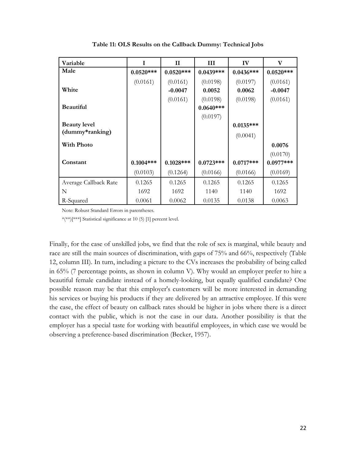| Variable              | I           | $\mathbf{I}$ | Ш           | IV          | V           |
|-----------------------|-------------|--------------|-------------|-------------|-------------|
| Male                  | $0.0520***$ | $0.0520***$  | $0.0439***$ | $0.0436***$ | $0.0520***$ |
|                       | (0.0161)    | (0.0161)     | (0.0198)    | (0.0197)    | (0.0161)    |
| White                 |             | $-0.0047$    | 0.0052      | 0.0062      | $-0.0047$   |
|                       |             | (0.0161)     | (0.0198)    | (0.0198)    | (0.0161)    |
| <b>Beautiful</b>      |             |              | $0.0640***$ |             |             |
|                       |             |              | (0.0197)    |             |             |
| <b>Beauty level</b>   |             |              |             | $0.0135***$ |             |
| (dummy*ranking)       |             |              |             | (0.0041)    |             |
| <b>With Photo</b>     |             |              |             |             | 0.0076      |
|                       |             |              |             |             | (0.0170)    |
| Constant              | $0.1004***$ | $0.1028***$  | $0.0723***$ | $0.0717***$ | $0.0977***$ |
|                       | (0.0103)    | (0.1264)     | (0.0166)    | (0.0166)    | (0.0169)    |
| Average Callback Rate | 0.1265      | 0.1265       | 0.1265      | 0.1265      | 0.1265      |
| N                     | 1692        | 1692         | 1140        | 1140        | 1692        |
| R-Squared             | 0.0061      | 0.0062       | 0.0135      | 0.0138      | 0.0063      |

**Table 11: OLS Results on the Callback Dummy: Technical Jobs**

\*(\*\*)[\*\*\*] Statistical significance at 10 (5) [1] percent level.

Finally, for the case of unskilled jobs, we find that the role of sex is marginal, while beauty and race are still the main sources of discrimination, with gaps of 75% and 66%, respectively (Table 12, column III). In turn, including a picture to the CVs increases the probability of being called in 65% (7 percentage points, as shown in column V). Why would an employer prefer to hire a beautiful female candidate instead of a homely-looking, but equally qualified candidate? One possible reason may be that this employer's customers will be more interested in demanding his services or buying his products if they are delivered by an attractive employee. If this were the case, the effect of beauty on callback rates should be higher in jobs where there is a direct contact with the public, which is not the case in our data. Another possibility is that the employer has a special taste for working with beautiful employees, in which case we would be observing a preference-based discrimination (Becker, 1957).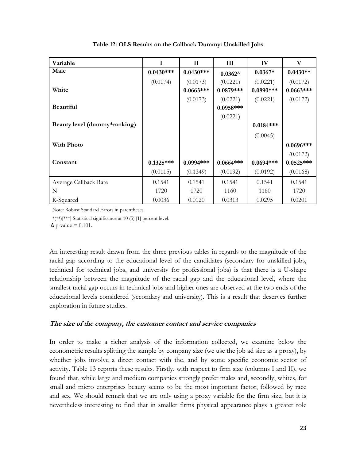| Variable                     |             | $\mathbf{I}$ | III               | IV           | $\mathbf{V}$ |
|------------------------------|-------------|--------------|-------------------|--------------|--------------|
| Male                         | $0.0430***$ | $0.0430***$  | $0.0362^{\Delta}$ | $0.0367*$    | $0.0430**$   |
|                              | (0.0174)    | (0.0173)     | (0.0221)          | (0.0221)     | (0.0172)     |
| White                        |             | $0.0663***$  | $0.0879***$       | $0.0890$ *** | $0.0663***$  |
|                              |             | (0.0173)     | (0.0221)          | (0.0221)     | (0.0172)     |
| <b>Beautiful</b>             |             |              | $0.0958***$       |              |              |
|                              |             |              | (0.0221)          |              |              |
| Beauty level (dummy*ranking) |             |              |                   | $0.0184***$  |              |
|                              |             |              |                   | (0.0045)     |              |
| <b>With Photo</b>            |             |              |                   |              | $0.0696***$  |
|                              |             |              |                   |              | (0.0172)     |
| Constant                     | $0.1325***$ | $0.0994***$  | $0.0664***$       | $0.0694***$  | $0.0525***$  |
|                              | (0.0115)    | (0.1349)     | (0.0192)          | (0.0192)     | (0.0168)     |
| Average Callback Rate        | 0.1541      | 0.1541       | 0.1541            | 0.1541       | 0.1541       |
| N                            | 1720        | 1720         | 1160              | 1160         | 1720         |
| R-Squared                    | 0.0036      | 0.0120       | 0.0313            | 0.0295       | 0.0201       |

**Table 12: OLS Results on the Callback Dummy: Unskilled Jobs**

\*(\*\*)[\*\*\*] Statistical significance at 10 (5) [1] percent level.

 $\Delta$  p-value = 0.101.

An interesting result drawn from the three previous tables in regards to the magnitude of the racial gap according to the educational level of the candidates (secondary for unskilled jobs, technical for technical jobs, and university for professional jobs) is that there is a U-shape relationship between the magnitude of the racial gap and the educational level, where the smallest racial gap occurs in technical jobs and higher ones are observed at the two ends of the educational levels considered (secondary and university). This is a result that deserves further exploration in future studies.

#### **The size of the company, the customer contact and service companies**

In order to make a richer analysis of the information collected, we examine below the econometric results splitting the sample by company size (we use the job ad size as a proxy), by whether jobs involve a direct contact with the, and by some specific economic sector of activity. Table 13 reports these results. Firstly, with respect to firm size (columns I and II), we found that, while large and medium companies strongly prefer males and, secondly, whites, for small and micro enterprises beauty seems to be the most important factor, followed by race and sex. We should remark that we are only using a proxy variable for the firm size, but it is nevertheless interesting to find that in smaller firms physical appearance plays a greater role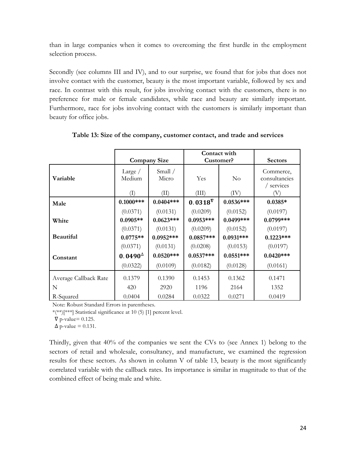than in large companies when it comes to overcoming the first hurdle in the employment selection process.

Secondly (see columns III and IV), and to our surprise, we found that for jobs that does not involve contact with the customer, beauty is the most important variable, followed by sex and race. In contrast with this result, for jobs involving contact with the customers, there is no preference for male or female candidates, while race and beauty are similarly important. Furthermore, race for jobs involving contact with the customers is similarly important than beauty for office jobs.

|                       |                     |                     | Contact with<br>Customer? |             |                                          |
|-----------------------|---------------------|---------------------|---------------------------|-------------|------------------------------------------|
|                       |                     | <b>Company Size</b> |                           |             | <b>Sectors</b>                           |
| Variable              | Large $/$<br>Medium | Small /<br>Micro    | Yes                       | $\rm No$    | Commerce,<br>consultancies<br>/ services |
|                       | (I)                 | (II)                | (III)                     | (IV)        |                                          |
| Male                  | $0.1000***$         | $0.0404***$         | $0.0318^{\nabla}$         | $0.0536***$ | $0.0385*$                                |
|                       | (0.0371)            | (0.0131)            | (0.0209)                  | (0.0152)    | (0.0197)                                 |
| White                 | $0.0905**$          | $0.0623***$         | $0.0953***$               | 0.0499***   | $0.0799***$                              |
|                       | (0.0371)            | (0.0131)            | (0.0209)                  | (0.0152)    | (0.0197)                                 |
| <b>Beautiful</b>      | $0.0775**$          | $0.0952***$         | $0.0857***$               | $0.0931***$ | $0.1223***$                              |
|                       | (0.0371)            | (0.0131)            | (0.0208)                  | (0.0153)    | (0.0197)                                 |
| Constant              | $0.0490^{\Delta}$   | $0.0520***$         | $0.0537***$               | $0.0551***$ | $0.0420***$                              |
|                       | (0.0322)            | (0.0109)            | (0.0182)                  | (0.0128)    | (0.0161)                                 |
| Average Callback Rate | 0.1379              | 0.1390              | 0.1453                    | 0.1362      | 0.1471                                   |
| N                     | 420                 | 2920                | 1196                      | 2164        | 1352                                     |
| R-Squared             | 0.0404              | 0.0284              | 0.0322                    | 0.0271      | 0.0419                                   |

**Table 13: Size of the company, customer contact, and trade and services**

Note: Robust Standard Errors in parentheses.

\*(\*\*)[\*\*\*] Statistical significance at 10 (5) [1] percent level.

 $\nabla$  p-value= 0.125.

 $\Delta$  p-value = 0.131.

Thirdly, given that 40% of the companies we sent the CVs to (see Annex 1) belong to the sectors of retail and wholesale, consultancy, and manufacture, we examined the regression results for these sectors. As shown in column V of table 13, beauty is the most significantly correlated variable with the callback rates. Its importance is similar in magnitude to that of the combined effect of being male and white.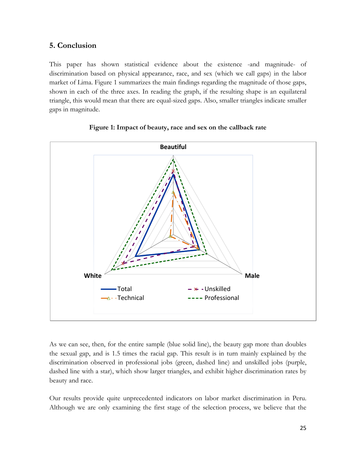#### **5. Conclusion**

This paper has shown statistical evidence about the existence -and magnitude- of discrimination based on physical appearance, race, and sex (which we call gaps) in the labor market of Lima. Figure 1 summarizes the main findings regarding the magnitude of those gaps, shown in each of the three axes. In reading the graph, if the resulting shape is an equilateral triangle, this would mean that there are equal-sized gaps. Also, smaller triangles indicate smaller gaps in magnitude.



#### **Figure 1: Impact of beauty, race and sex on the callback rate**

As we can see, then, for the entire sample (blue solid line), the beauty gap more than doubles the sexual gap, and is 1.5 times the racial gap. This result is in turn mainly explained by the discrimination observed in professional jobs (green, dashed line) and unskilled jobs (purple, dashed line with a star), which show larger triangles, and exhibit higher discrimination rates by beauty and race.

Our results provide quite unprecedented indicators on labor market discrimination in Peru. Although we are only examining the first stage of the selection process, we believe that the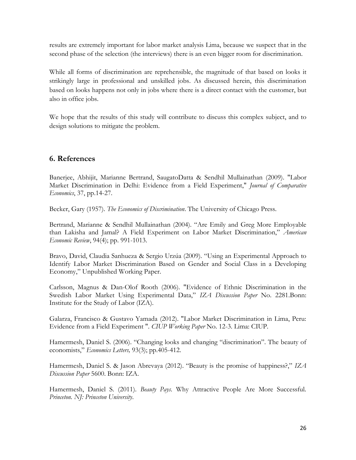results are extremely important for labor market analysis Lima, because we suspect that in the second phase of the selection (the interviews) there is an even bigger room for discrimination.

While all forms of discrimination are reprehensible, the magnitude of that based on looks it strikingly large in professional and unskilled jobs. As discussed herein, this discrimination based on looks happens not only in jobs where there is a direct contact with the customer, but also in office jobs.

We hope that the results of this study will contribute to discuss this complex subject, and to design solutions to mitigate the problem.

#### **6. References**

Banerjee, Abhijit, Marianne Bertrand, SaugatoDatta & Sendhil Mullainathan (2009). "Labor Market Discrimination in Delhi: Evidence from a Field Experiment," *Journal of Comparative Economics*, 37, pp.14-27.

Becker, Gary (1957). *The Economics of Discrimination*. The University of Chicago Press.

Bertrand, Marianne & Sendhil Mullainathan (2004). "Are Emily and Greg More Employable than Lakisha and Jamal? A Field Experiment on Labor Market Discrimination," *American Economic Review*, 94(4); pp. 991-1013.

Bravo, David, Claudia Sanhueza & Sergio Urzúa (2009). "Using an Experimental Approach to Identify Labor Market Discrimination Based on Gender and Social Class in a Developing Economy," Unpublished Working Paper.

Carlsson, Magnus & Dan-Olof Rooth (2006). "Evidence of Ethnic Discrimination in the Swedish Labor Market Using Experimental Data," *IZA Discussion Paper* No. 2281.Bonn: Institute for the Study of Labor (IZA).

Galarza, Francisco & Gustavo Yamada (2012). "Labor Market Discrimination in Lima, Peru: Evidence from a Field Experiment ". *CIUP Working Paper* No. 12-3. Lima: CIUP.

Hamermesh, Daniel S. (2006). "Changing looks and changing "discrimination". The beauty of economists," *Economics Letters,* 93(3); pp.405-412.

Hamermesh, Daniel S. & Jason Abrevaya (2012). "Beauty is the promise of happiness?," *IZA Discussion Paper* 5600. Bonn: IZA.

Hamermesh, Daniel S. (2011). *Beauty Pays*. Why Attractive People Are More Successful. *Princeton. NJ: Princeton University*.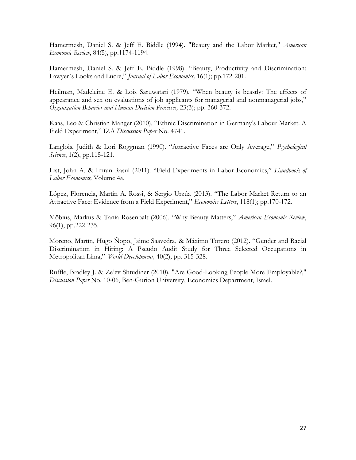Hamermesh, Daniel S. & Jeff E. Biddle (1994). "Beauty and the Labor Market," *American Economic Review*, 84(5), pp.1174-1194.

Hamermesh, Daniel S. & Jeff E. Biddle (1998). "Beauty, Productivity and Discrimination: Lawyer´s Looks and Lucre," *Journal of Labor Economics,* 16(1); pp.172-201.

Heilman, Madeleine E. & Lois Saruwatari (1979). "When beauty is beastly: The effects of appearance and sex on evaluations of job applicants for managerial and nonmanagerial jobs," *Organization Behavior and Human Decision Processes,* 23(3); pp. 360-372.

Kaas, Leo & Christian Manger (2010), "Ethnic Discrimination in Germany's Labour Market: A Field Experiment," IZA *Discussion Paper* No. 4741.

Langlois, Judith & Lori Roggman (1990). "Attractive Faces are Only Average," *Psychological Science*, 1(2), pp.115-121.

List, John A. & Imran Rasul (2011). "Field Experiments in Labor Economics," *Handbook of Labor Economics,* Volume 4a.

López, Florencia, Martín A. Rossi, & Sergio Urzúa (2013). "The Labor Market Return to an Attractive Face: Evidence from a Field Experiment," *Economics Letters*, 118(1); pp.170-172*.*

Möbius, Markus & Tania Rosenbalt (2006). "Why Beauty Matters," *American Economic Review*, 96(1), pp.222-235.

Moreno, Martín, Hugo Ñopo, Jaime Saavedra, & Máximo Torero (2012). "Gender and Racial Discrimination in Hiring: A Pseudo Audit Study for Three Selected Occupations in Metropolitan Lima," *World Development,* 40(2); pp. 315-328*.*

Ruffle, Bradley J. & Ze'ev Shtudiner (2010). "Are Good-Looking People More Employable?," *Discussion Paper* No. 10-06, Ben-Gurion University, Economics Department, Israel.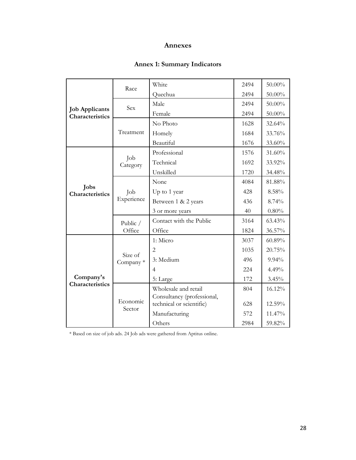#### **Annexes**

#### **Annex 1: Summary Indicators**

| <b>Job Applicants</b><br>Characteristics | Race                 | White                                                  | 2494 | 50.00%   |
|------------------------------------------|----------------------|--------------------------------------------------------|------|----------|
|                                          |                      | Quechua                                                | 2494 | 50.00%   |
|                                          | Sex                  | Male                                                   | 2494 | 50.00%   |
|                                          |                      | Female                                                 | 2494 | 50.00%   |
|                                          | Treatment            | No Photo                                               | 1628 | 32.64%   |
|                                          |                      | Homely                                                 | 1684 | 33.76%   |
|                                          |                      | Beautiful                                              | 1676 | 33.60%   |
|                                          | Job<br>Category      | Professional                                           | 1576 | 31.60%   |
|                                          |                      | Technical                                              | 1692 | 33.92%   |
|                                          |                      | Unskilled                                              | 1720 | 34.48%   |
|                                          | Job<br>Experience    | None                                                   | 4084 | 81.88%   |
| Jobs<br>Characteristics                  |                      | Up to 1 year                                           | 428  | 8.58%    |
|                                          |                      | Between 1 & 2 years                                    | 436  | 8.74%    |
|                                          |                      | 3 or more years                                        | 40   | $0.80\%$ |
|                                          | Public /<br>Office   | Contact with the Public                                | 3164 | 63.43%   |
|                                          |                      | Office                                                 | 1824 | 36.57%   |
| Company's<br>Characteristics             | Size of<br>Company * | 1: Micro                                               | 3037 | 60.89%   |
|                                          |                      | $\overline{2}$                                         | 1035 | 20.75%   |
|                                          |                      | 3: Medium                                              | 496  | $9.94\%$ |
|                                          |                      | 4                                                      | 224  | 4.49%    |
|                                          |                      | 5: Large                                               | 172  | 3.45%    |
|                                          | Economic<br>Sector   | Wholesale and retail                                   | 804  | 16.12%   |
|                                          |                      | Consultancy (professional,<br>technical or scientific) | 628  | 12.59%   |
|                                          |                      | Manufacturing                                          | 572  | 11.47%   |
|                                          |                      | Others                                                 |      | 59.82%   |
|                                          |                      |                                                        | 2984 |          |

\* Based on size of job ads. 24 Job ads were gathered from Aptitus online.